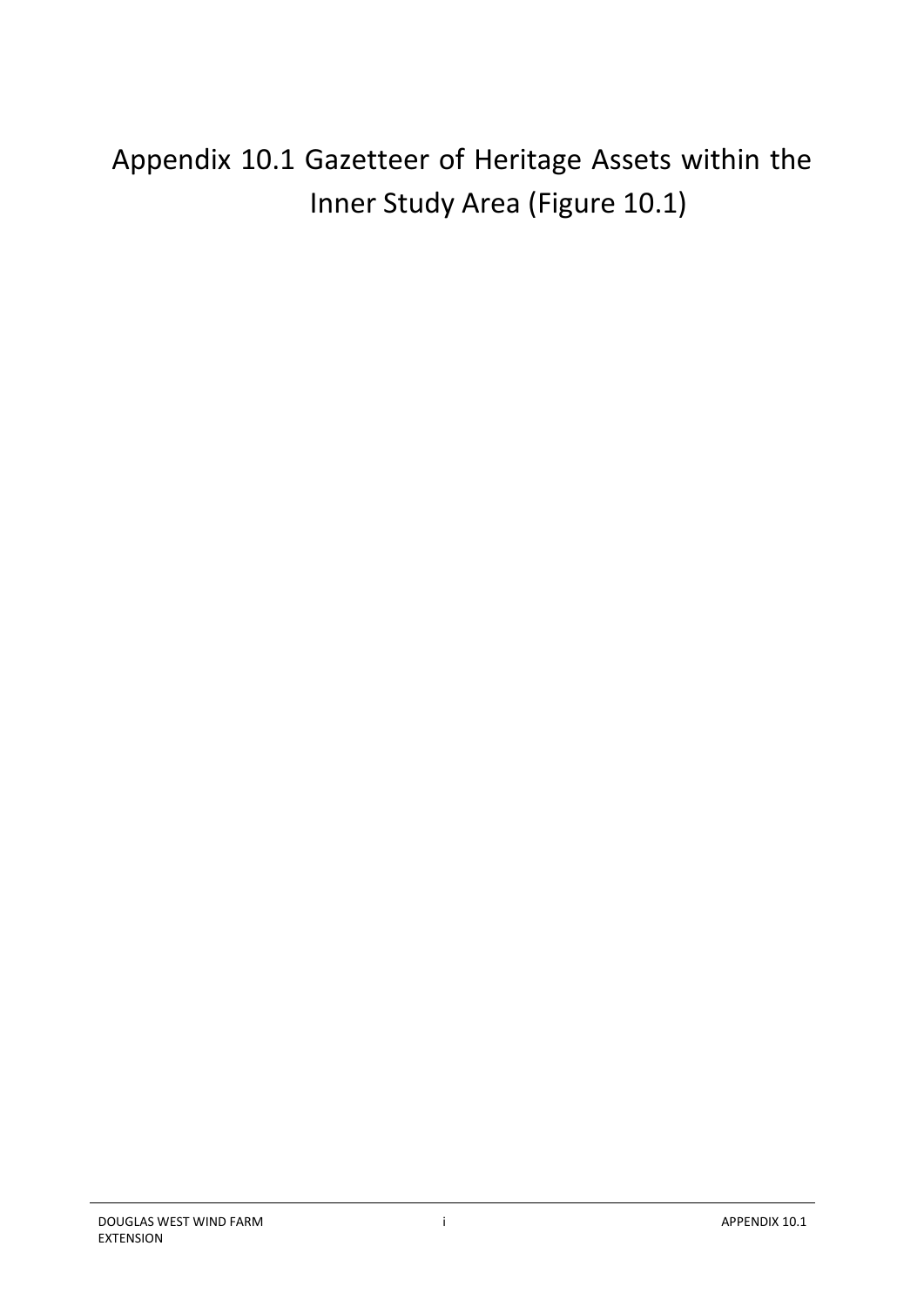## Appendix 10.1 Gazetteer of Heritage Assets within the Inner Study Area (Figure 10.1)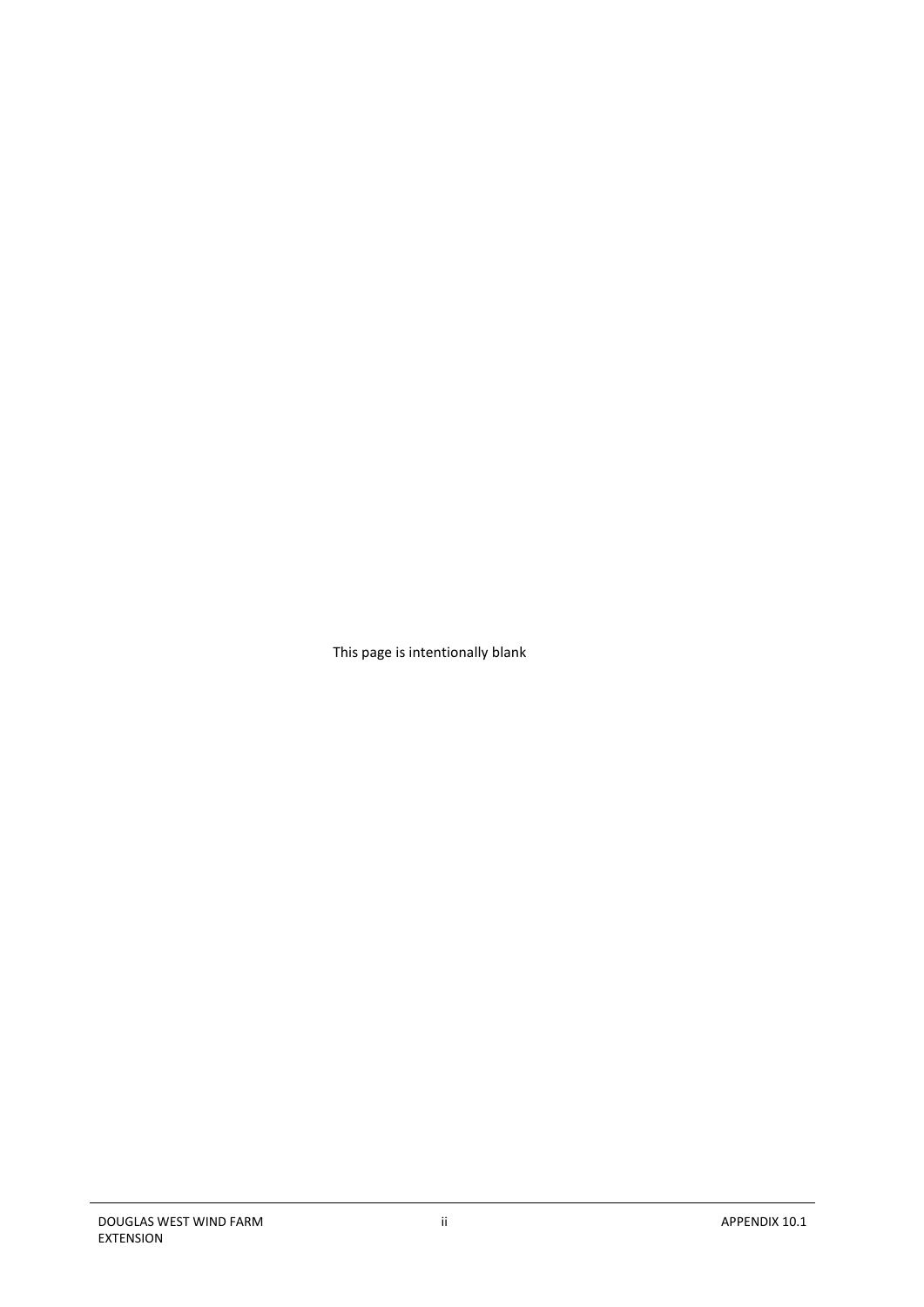This page is intentionally blank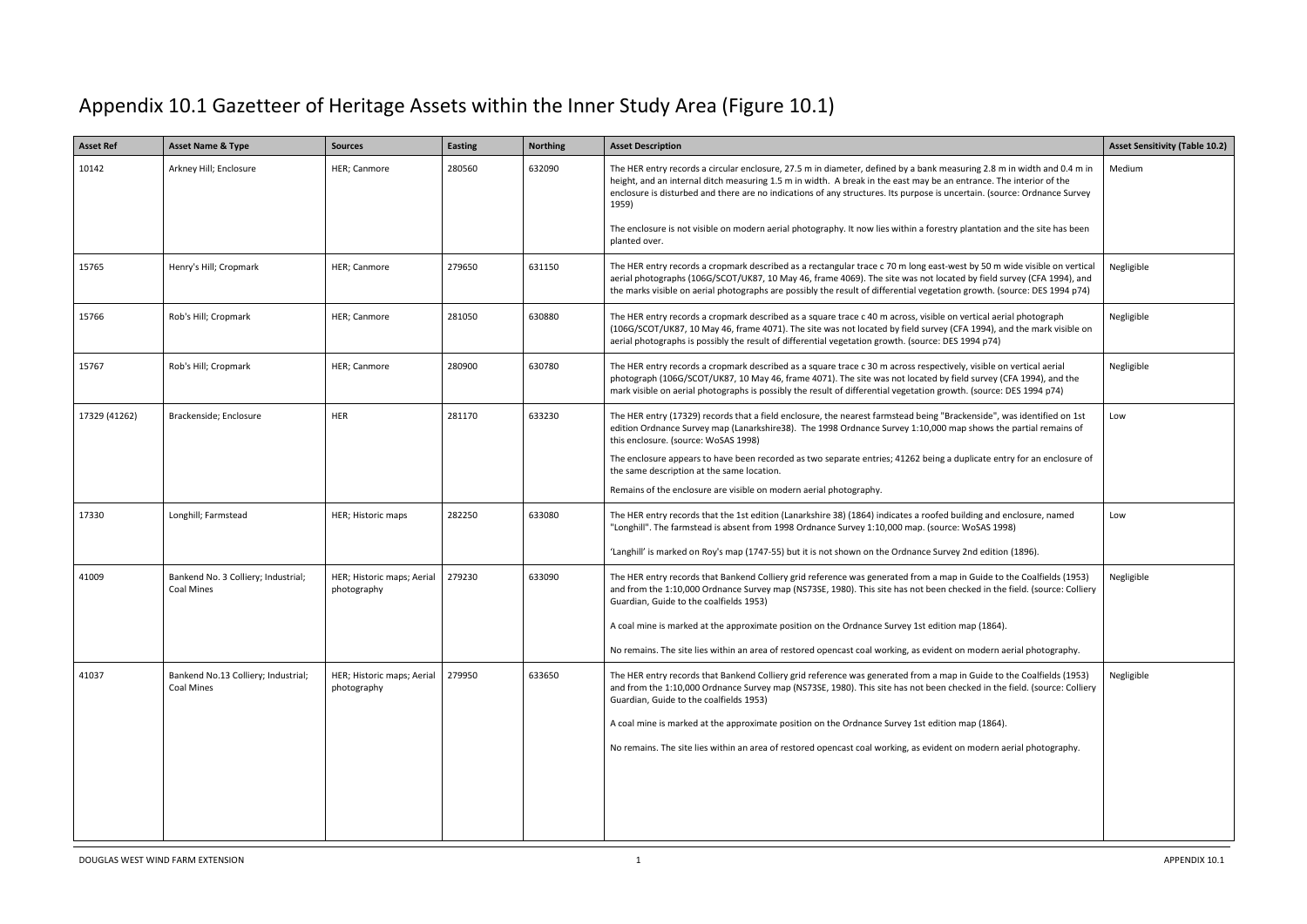## Appendix 10.1 Gazetteer of Heritage Assets within the Inner Study Area (Figure 10.1)

| <b>Asset Ref</b> | <b>Asset Name &amp; Type</b>                             | <b>Sources</b>                            | Easting | <b>Northing</b> | <b>Asset Description</b>                                                                                                                                                                                                                                                                                                                                                             | <b>Asset Sensitivity (Table 10.2)</b> |
|------------------|----------------------------------------------------------|-------------------------------------------|---------|-----------------|--------------------------------------------------------------------------------------------------------------------------------------------------------------------------------------------------------------------------------------------------------------------------------------------------------------------------------------------------------------------------------------|---------------------------------------|
| 10142            | Arkney Hill; Enclosure                                   | HER; Canmore                              | 280560  | 632090          | The HER entry records a circular enclosure, 27.5 m in diameter, defined by a bank measuring 2.8 m in width and 0.4 m in<br>height, and an internal ditch measuring 1.5 m in width. A break in the east may be an entrance. The interior of the<br>enclosure is disturbed and there are no indications of any structures. Its purpose is uncertain. (source: Ordnance Survey<br>1959) | Medium                                |
|                  |                                                          |                                           |         |                 | The enclosure is not visible on modern aerial photography. It now lies within a forestry plantation and the site has been<br>planted over.                                                                                                                                                                                                                                           |                                       |
| 15765            | Henry's Hill; Cropmark                                   | <b>HER</b> ; Canmore                      | 279650  | 631150          | The HER entry records a cropmark described as a rectangular trace c 70 m long east-west by 50 m wide visible on vertical<br>aerial photographs (106G/SCOT/UK87, 10 May 46, frame 4069). The site was not located by field survey (CFA 1994), and<br>the marks visible on aerial photographs are possibly the result of differential vegetation growth. (source: DES 1994 p74)        | Negligible                            |
| 15766            | Rob's Hill; Cropmark                                     | <b>HER; Canmore</b>                       | 281050  | 630880          | The HER entry records a cropmark described as a square trace c 40 m across, visible on vertical aerial photograph<br>(106G/SCOT/UK87, 10 May 46, frame 4071). The site was not located by field survey (CFA 1994), and the mark visible on<br>aerial photographs is possibly the result of differential vegetation growth. (source: DES 1994 p74)                                    | Negligible                            |
| 15767            | Rob's Hill; Cropmark                                     | HER; Canmore                              | 280900  | 630780          | The HER entry records a cropmark described as a square trace c 30 m across respectively, visible on vertical aerial<br>photograph (106G/SCOT/UK87, 10 May 46, frame 4071). The site was not located by field survey (CFA 1994), and the<br>mark visible on aerial photographs is possibly the result of differential vegetation growth. (source: DES 1994 p74)                       | Negligible                            |
| 17329 (41262)    | Brackenside; Enclosure                                   | HER                                       | 281170  | 633230          | The HER entry (17329) records that a field enclosure, the nearest farmstead being "Brackenside", was identified on 1st<br>edition Ordnance Survey map (Lanarkshire38). The 1998 Ordnance Survey 1:10,000 map shows the partial remains of<br>this enclosure. (source: WoSAS 1998)                                                                                                    | Low                                   |
|                  |                                                          |                                           |         |                 | The enclosure appears to have been recorded as two separate entries; 41262 being a duplicate entry for an enclosure of<br>the same description at the same location.                                                                                                                                                                                                                 |                                       |
|                  |                                                          |                                           |         |                 | Remains of the enclosure are visible on modern aerial photography.                                                                                                                                                                                                                                                                                                                   |                                       |
| 17330            | Longhill; Farmstead                                      | HER; Historic maps                        | 282250  | 633080          | The HER entry records that the 1st edition (Lanarkshire 38) (1864) indicates a roofed building and enclosure, named<br>"Longhill". The farmstead is absent from 1998 Ordnance Survey 1:10,000 map. (source: WoSAS 1998)                                                                                                                                                              | Low                                   |
|                  |                                                          |                                           |         |                 | 'Langhill' is marked on Roy's map (1747-55) but it is not shown on the Ordnance Survey 2nd edition (1896).                                                                                                                                                                                                                                                                           |                                       |
| 41009            | Bankend No. 3 Colliery; Industrial;<br><b>Coal Mines</b> | HER; Historic maps; Aerial<br>photography | 279230  | 633090          | The HER entry records that Bankend Colliery grid reference was generated from a map in Guide to the Coalfields (1953)<br>and from the 1:10,000 Ordnance Survey map (NS73SE, 1980). This site has not been checked in the field. (source: Colliery<br>Guardian, Guide to the coalfields 1953)                                                                                         | Negligible                            |
|                  |                                                          |                                           |         |                 | A coal mine is marked at the approximate position on the Ordnance Survey 1st edition map (1864).                                                                                                                                                                                                                                                                                     |                                       |
|                  |                                                          |                                           |         |                 | No remains. The site lies within an area of restored opencast coal working, as evident on modern aerial photography.                                                                                                                                                                                                                                                                 |                                       |
| 41037            | Bankend No.13 Colliery; Industrial;<br><b>Coal Mines</b> | HER; Historic maps; Aerial<br>photography | 279950  | 633650          | The HER entry records that Bankend Colliery grid reference was generated from a map in Guide to the Coalfields (1953)<br>and from the 1:10,000 Ordnance Survey map (NS73SE, 1980). This site has not been checked in the field. (source: Colliery<br>Guardian, Guide to the coalfields 1953)                                                                                         | Negligible                            |
|                  |                                                          |                                           |         |                 | A coal mine is marked at the approximate position on the Ordnance Survey 1st edition map (1864).                                                                                                                                                                                                                                                                                     |                                       |
|                  |                                                          |                                           |         |                 | No remains. The site lies within an area of restored opencast coal working, as evident on modern aerial photography.                                                                                                                                                                                                                                                                 |                                       |
|                  |                                                          |                                           |         |                 |                                                                                                                                                                                                                                                                                                                                                                                      |                                       |
|                  |                                                          |                                           |         |                 |                                                                                                                                                                                                                                                                                                                                                                                      |                                       |
|                  |                                                          |                                           |         |                 |                                                                                                                                                                                                                                                                                                                                                                                      |                                       |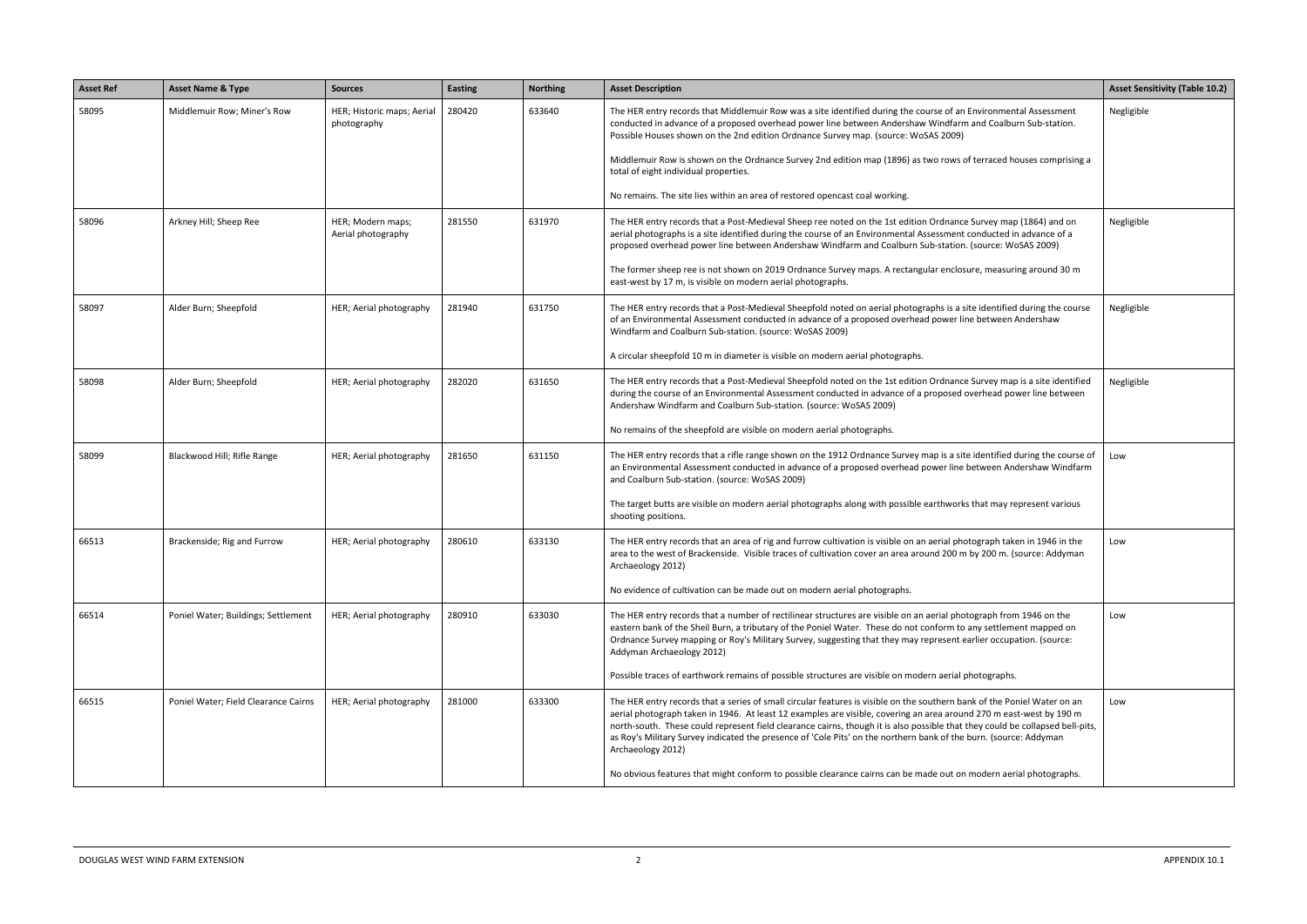| <b>Asset Ref</b> | <b>Asset Name &amp; Type</b>         | <b>Sources</b>                            | Easting | <b>Northing</b> | <b>Asset Description</b>                                                                                                                                                                                                                                                                                                                                                                                                                                                                                                   | <b>Asset Sensitivity (Table 10.2)</b> |
|------------------|--------------------------------------|-------------------------------------------|---------|-----------------|----------------------------------------------------------------------------------------------------------------------------------------------------------------------------------------------------------------------------------------------------------------------------------------------------------------------------------------------------------------------------------------------------------------------------------------------------------------------------------------------------------------------------|---------------------------------------|
| 58095            | Middlemuir Row; Miner's Row          | HER; Historic maps; Aerial<br>photography | 280420  | 633640          | The HER entry records that Middlemuir Row was a site identified during the course of an Environmental Assessment<br>conducted in advance of a proposed overhead power line between Andershaw Windfarm and Coalburn Sub-station.<br>Possible Houses shown on the 2nd edition Ordnance Survey map. (source: WoSAS 2009)                                                                                                                                                                                                      | Negligible                            |
|                  |                                      |                                           |         |                 | Middlemuir Row is shown on the Ordnance Survey 2nd edition map (1896) as two rows of terraced houses comprising a<br>total of eight individual properties.                                                                                                                                                                                                                                                                                                                                                                 |                                       |
|                  |                                      |                                           |         |                 | No remains. The site lies within an area of restored opencast coal working.                                                                                                                                                                                                                                                                                                                                                                                                                                                |                                       |
| 58096            | Arkney Hill; Sheep Ree               | HER; Modern maps;<br>Aerial photography   | 281550  | 631970          | The HER entry records that a Post-Medieval Sheep ree noted on the 1st edition Ordnance Survey map (1864) and on<br>aerial photographs is a site identified during the course of an Environmental Assessment conducted in advance of a<br>proposed overhead power line between Andershaw Windfarm and Coalburn Sub-station. (source: WoSAS 2009)                                                                                                                                                                            | Negligible                            |
|                  |                                      |                                           |         |                 | The former sheep ree is not shown on 2019 Ordnance Survey maps. A rectangular enclosure, measuring around 30 m<br>east-west by 17 m, is visible on modern aerial photographs.                                                                                                                                                                                                                                                                                                                                              |                                       |
| 58097            | Alder Burn; Sheepfold                | HER; Aerial photography                   | 281940  | 631750          | The HER entry records that a Post-Medieval Sheepfold noted on aerial photographs is a site identified during the course<br>of an Environmental Assessment conducted in advance of a proposed overhead power line between Andershaw<br>Windfarm and Coalburn Sub-station. (source: WoSAS 2009)                                                                                                                                                                                                                              | Negligible                            |
|                  |                                      |                                           |         |                 | A circular sheepfold 10 m in diameter is visible on modern aerial photographs.                                                                                                                                                                                                                                                                                                                                                                                                                                             |                                       |
| 58098            | Alder Burn; Sheepfold                | HER; Aerial photography                   | 282020  | 631650          | The HER entry records that a Post-Medieval Sheepfold noted on the 1st edition Ordnance Survey map is a site identified<br>during the course of an Environmental Assessment conducted in advance of a proposed overhead power line between<br>Andershaw Windfarm and Coalburn Sub-station. (source: WoSAS 2009)                                                                                                                                                                                                             | Negligible                            |
|                  |                                      |                                           |         |                 | No remains of the sheepfold are visible on modern aerial photographs.                                                                                                                                                                                                                                                                                                                                                                                                                                                      |                                       |
| 58099            | Blackwood Hill; Rifle Range          | HER; Aerial photography                   | 281650  | 631150          | The HER entry records that a rifle range shown on the 1912 Ordnance Survey map is a site identified during the course of<br>an Environmental Assessment conducted in advance of a proposed overhead power line between Andershaw Windfarm<br>and Coalburn Sub-station. (source: WoSAS 2009)                                                                                                                                                                                                                                | Low                                   |
|                  |                                      |                                           |         |                 | The target butts are visible on modern aerial photographs along with possible earthworks that may represent various<br>shooting positions.                                                                                                                                                                                                                                                                                                                                                                                 |                                       |
| 66513            | Brackenside; Rig and Furrow          | HER; Aerial photography                   | 280610  | 633130          | The HER entry records that an area of rig and furrow cultivation is visible on an aerial photograph taken in 1946 in the<br>area to the west of Brackenside. Visible traces of cultivation cover an area around 200 m by 200 m. (source: Addyman<br>Archaeology 2012)                                                                                                                                                                                                                                                      | Low                                   |
|                  |                                      |                                           |         |                 | No evidence of cultivation can be made out on modern aerial photographs.                                                                                                                                                                                                                                                                                                                                                                                                                                                   |                                       |
| 66514            | Poniel Water; Buildings; Settlement  | HER; Aerial photography                   | 280910  | 633030          | The HER entry records that a number of rectilinear structures are visible on an aerial photograph from 1946 on the<br>eastern bank of the Sheil Burn, a tributary of the Poniel Water. These do not conform to any settlement mapped on<br>Ordnance Survey mapping or Roy's Military Survey, suggesting that they may represent earlier occupation. (source:<br>Addyman Archaeology 2012)                                                                                                                                  | Low                                   |
|                  |                                      |                                           |         |                 | Possible traces of earthwork remains of possible structures are visible on modern aerial photographs.                                                                                                                                                                                                                                                                                                                                                                                                                      |                                       |
| 66515            | Poniel Water; Field Clearance Cairns | HER; Aerial photography                   | 281000  | 633300          | The HER entry records that a series of small circular features is visible on the southern bank of the Poniel Water on an<br>aerial photograph taken in 1946. At least 12 examples are visible, covering an area around 270 m east-west by 190 m<br>north-south. These could represent field clearance cairns, though it is also possible that they could be collapsed bell-pits,<br>as Roy's Military Survey indicated the presence of 'Cole Pits' on the northern bank of the burn. (source: Addyman<br>Archaeology 2012) | Low                                   |
|                  |                                      |                                           |         |                 | No obvious features that might conform to possible clearance cairns can be made out on modern aerial photographs.                                                                                                                                                                                                                                                                                                                                                                                                          |                                       |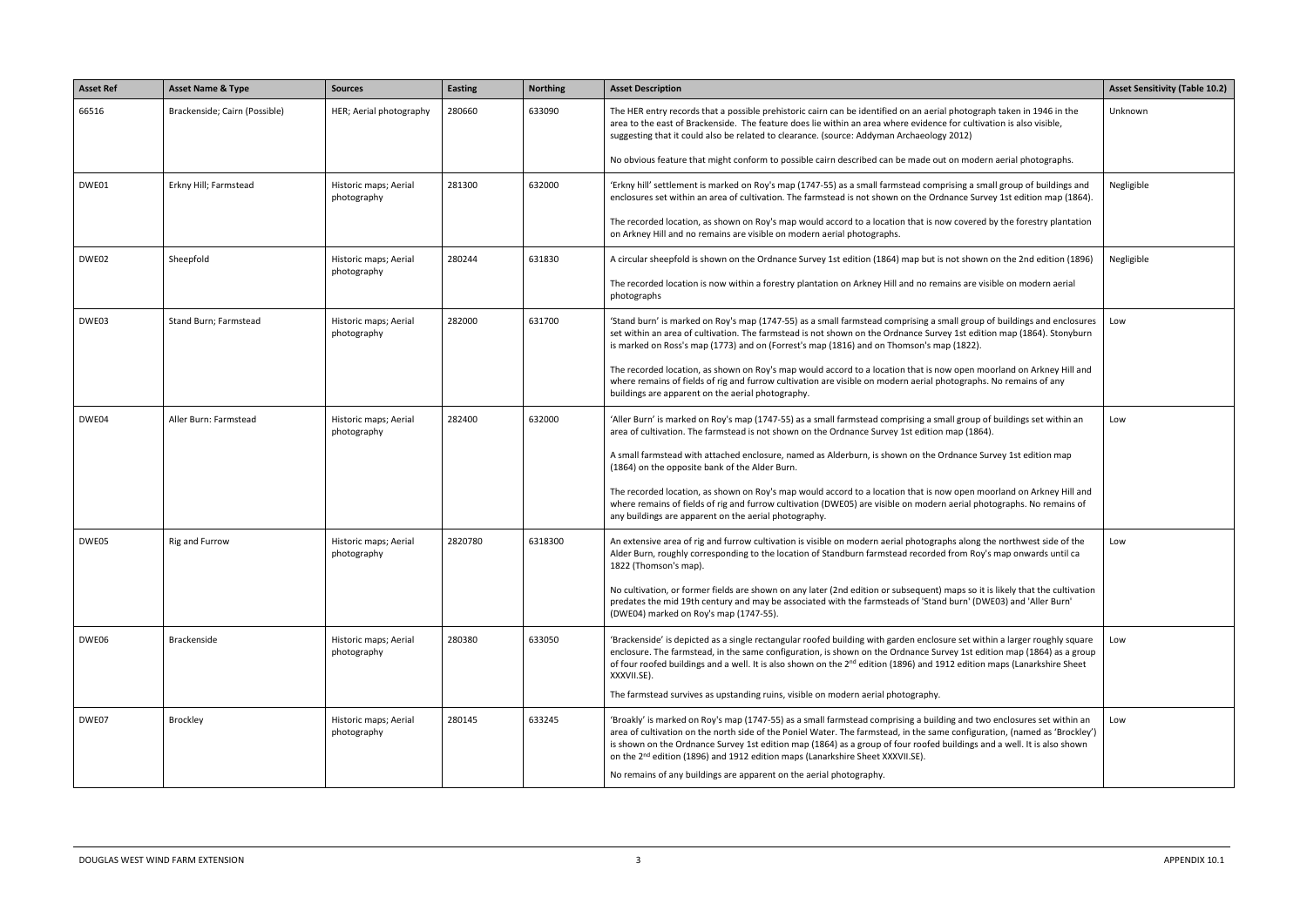| <b>Asset Ref</b> | <b>Asset Name &amp; Type</b>  | <b>Sources</b>                       | <b>Easting</b> | <b>Northing</b> | <b>Asset Description</b>                                                                                                                                                                                                                                                                                                                                                                                                                                                      | <b>Asset Sensitivity (Table 10.2)</b> |
|------------------|-------------------------------|--------------------------------------|----------------|-----------------|-------------------------------------------------------------------------------------------------------------------------------------------------------------------------------------------------------------------------------------------------------------------------------------------------------------------------------------------------------------------------------------------------------------------------------------------------------------------------------|---------------------------------------|
| 66516            | Brackenside; Cairn (Possible) | HER; Aerial photography              | 280660         | 633090          | The HER entry records that a possible prehistoric cairn can be identified on an aerial photograph taken in 1946 in the<br>area to the east of Brackenside. The feature does lie within an area where evidence for cultivation is also visible,<br>suggesting that it could also be related to clearance. (source: Addyman Archaeology 2012)                                                                                                                                   | Unknown                               |
|                  |                               |                                      |                |                 | No obvious feature that might conform to possible cairn described can be made out on modern aerial photographs.                                                                                                                                                                                                                                                                                                                                                               |                                       |
| DWE01            | Erkny Hill; Farmstead         | Historic maps; Aerial<br>photography | 281300         | 632000          | 'Erkny hill' settlement is marked on Roy's map (1747-55) as a small farmstead comprising a small group of buildings and<br>enclosures set within an area of cultivation. The farmstead is not shown on the Ordnance Survey 1st edition map (1864).                                                                                                                                                                                                                            | Negligible                            |
|                  |                               |                                      |                |                 | The recorded location, as shown on Roy's map would accord to a location that is now covered by the forestry plantation<br>on Arkney Hill and no remains are visible on modern aerial photographs.                                                                                                                                                                                                                                                                             |                                       |
| DWE02            | Sheepfold                     | Historic maps; Aerial<br>photography | 280244         | 631830          | A circular sheepfold is shown on the Ordnance Survey 1st edition (1864) map but is not shown on the 2nd edition (1896)                                                                                                                                                                                                                                                                                                                                                        | Negligible                            |
|                  |                               |                                      |                |                 | The recorded location is now within a forestry plantation on Arkney Hill and no remains are visible on modern aerial<br>photographs                                                                                                                                                                                                                                                                                                                                           |                                       |
| DWE03            | Stand Burn; Farmstead         | Historic maps; Aerial<br>photography | 282000         | 631700          | 'Stand burn' is marked on Roy's map (1747-55) as a small farmstead comprising a small group of buildings and enclosures<br>set within an area of cultivation. The farmstead is not shown on the Ordnance Survey 1st edition map (1864). Stonyburn<br>is marked on Ross's map (1773) and on (Forrest's map (1816) and on Thomson's map (1822).                                                                                                                                 | Low                                   |
|                  |                               |                                      |                |                 | The recorded location, as shown on Roy's map would accord to a location that is now open moorland on Arkney Hill and<br>where remains of fields of rig and furrow cultivation are visible on modern aerial photographs. No remains of any<br>buildings are apparent on the aerial photography.                                                                                                                                                                                |                                       |
| DWE04            | Aller Burn: Farmstead         | Historic maps; Aerial<br>photography | 282400         | 632000          | 'Aller Burn' is marked on Roy's map (1747-55) as a small farmstead comprising a small group of buildings set within an<br>area of cultivation. The farmstead is not shown on the Ordnance Survey 1st edition map (1864).                                                                                                                                                                                                                                                      | Low                                   |
|                  |                               |                                      |                |                 | A small farmstead with attached enclosure, named as Alderburn, is shown on the Ordnance Survey 1st edition map<br>(1864) on the opposite bank of the Alder Burn.                                                                                                                                                                                                                                                                                                              |                                       |
|                  |                               |                                      |                |                 | The recorded location, as shown on Roy's map would accord to a location that is now open moorland on Arkney Hill and<br>where remains of fields of rig and furrow cultivation (DWE05) are visible on modern aerial photographs. No remains of<br>any buildings are apparent on the aerial photography.                                                                                                                                                                        |                                       |
| DWE05            | <b>Rig and Furrow</b>         | Historic maps; Aerial<br>photography | 2820780        | 6318300         | An extensive area of rig and furrow cultivation is visible on modern aerial photographs along the northwest side of the<br>Alder Burn, roughly corresponding to the location of Standburn farmstead recorded from Roy's map onwards until ca<br>1822 (Thomson's map).                                                                                                                                                                                                         | Low                                   |
|                  |                               |                                      |                |                 | No cultivation, or former fields are shown on any later (2nd edition or subsequent) maps so it is likely that the cultivation<br>predates the mid 19th century and may be associated with the farmsteads of 'Stand burn' (DWE03) and 'Aller Burn'<br>(DWE04) marked on Roy's map (1747-55).                                                                                                                                                                                   |                                       |
| DWE06            | <b>Brackenside</b>            | Historic maps; Aerial<br>photography | 280380         | 633050          | 'Brackenside' is depicted as a single rectangular roofed building with garden enclosure set within a larger roughly square<br>enclosure. The farmstead, in the same configuration, is shown on the Ordnance Survey 1st edition map (1864) as a group<br>of four roofed buildings and a well. It is also shown on the 2 <sup>nd</sup> edition (1896) and 1912 edition maps (Lanarkshire Sheet<br>XXXVII.SE).                                                                   | Low                                   |
|                  |                               |                                      |                |                 | The farmstead survives as upstanding ruins, visible on modern aerial photography.                                                                                                                                                                                                                                                                                                                                                                                             |                                       |
| DWE07            | Brockley                      | Historic maps; Aerial<br>photography | 280145         | 633245          | 'Broakly' is marked on Roy's map (1747-55) as a small farmstead comprising a building and two enclosures set within an<br>area of cultivation on the north side of the Poniel Water. The farmstead, in the same configuration, (named as 'Brockley')<br>is shown on the Ordnance Survey 1st edition map (1864) as a group of four roofed buildings and a well. It is also shown<br>on the 2 <sup>nd</sup> edition (1896) and 1912 edition maps (Lanarkshire Sheet XXXVII.SE). | Low                                   |
|                  |                               |                                      |                |                 | No remains of any buildings are apparent on the aerial photography.                                                                                                                                                                                                                                                                                                                                                                                                           |                                       |